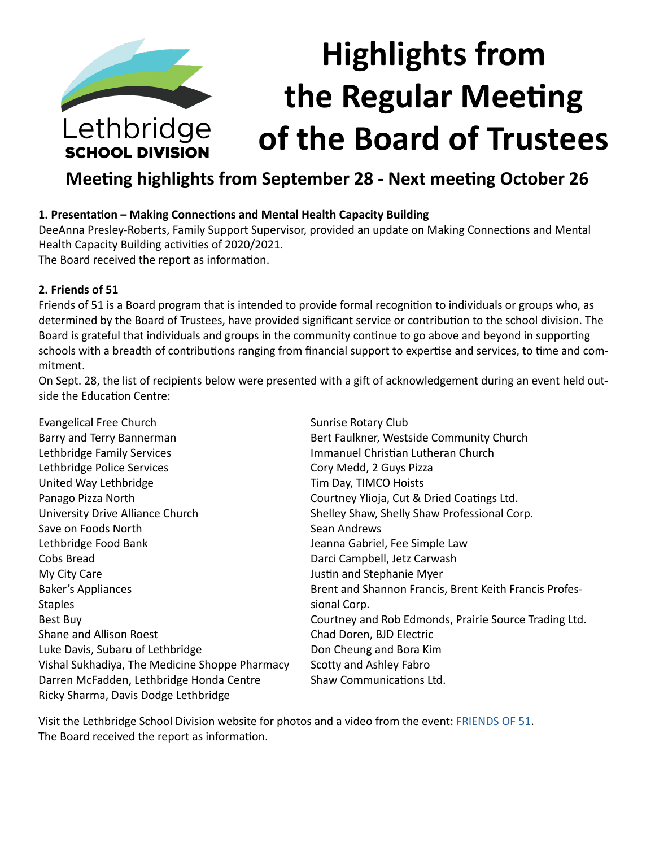

## **Meeting highlights from September 28 - Next meeting October 26**

#### **1. Presentation – Making Connections and Mental Health Capacity Building**

DeeAnna Presley-Roberts, Family Support Supervisor, provided an update on Making Connections and Mental Health Capacity Building activities of 2020/2021.

The Board received the report as information.

#### **2. Friends of 51**

Friends of 51 is a Board program that is intended to provide formal recognition to individuals or groups who, as determined by the Board of Trustees, have provided significant service or contribution to the school division. The Board is grateful that individuals and groups in the community continue to go above and beyond in supporting schools with a breadth of contributions ranging from financial support to expertise and services, to time and commitment.

On Sept. 28, the list of recipients below were presented with a gift of acknowledgement during an event held outside the Education Centre:

| Evangelical Free Church                        | Sunrise Rotary Club                                    |
|------------------------------------------------|--------------------------------------------------------|
| Barry and Terry Bannerman                      | Bert Faulkner, Westside Community Church               |
| Lethbridge Family Services                     | Immanuel Christian Lutheran Church                     |
| Lethbridge Police Services                     | Cory Medd, 2 Guys Pizza                                |
| United Way Lethbridge                          | Tim Day, TIMCO Hoists                                  |
| Panago Pizza North                             | Courtney Ylioja, Cut & Dried Coatings Ltd.             |
| University Drive Alliance Church               | Shelley Shaw, Shelly Shaw Professional Corp.           |
| Save on Foods North                            | Sean Andrews                                           |
| Lethbridge Food Bank                           | Jeanna Gabriel, Fee Simple Law                         |
| Cobs Bread                                     | Darci Campbell, Jetz Carwash                           |
| My City Care                                   | Justin and Stephanie Myer                              |
| Baker's Appliances                             | Brent and Shannon Francis, Brent Keith Francis Profes- |
| <b>Staples</b>                                 | sional Corp.                                           |
| Best Buy                                       | Courtney and Rob Edmonds, Prairie Source Trading Ltd.  |
| Shane and Allison Roest                        | Chad Doren, BJD Electric                               |
| Luke Davis, Subaru of Lethbridge               | Don Cheung and Bora Kim                                |
| Vishal Sukhadiya, The Medicine Shoppe Pharmacy | Scotty and Ashley Fabro                                |
| Darren McFadden, Lethbridge Honda Centre       | Shaw Communications Ltd.                               |
| Ricky Sharma, Davis Dodge Lethbridge           |                                                        |

Visit the Lethbridge School Division website for photos and a video from the event: [FRIENDS OF 51.](https://www.lethsd.ab.ca/our-district/news/post/friends-of-51-recognized-during-special-event-on-tuesday) The Board received the report as information.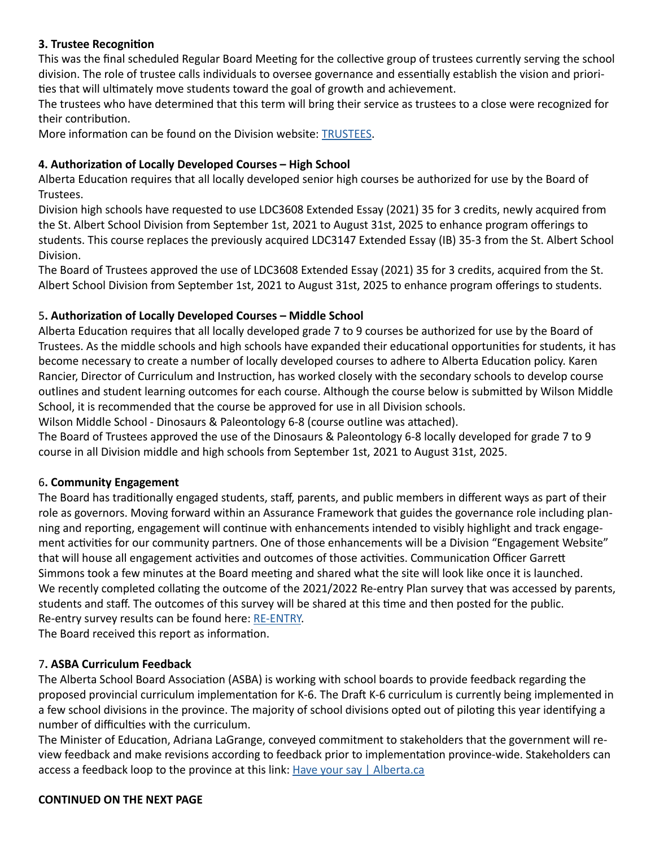#### **3. Trustee Recognition**

This was the final scheduled Regular Board Meeting for the collective group of trustees currently serving the school division. The role of trustee calls individuals to oversee governance and essentially establish the vision and priorities that will ultimately move students toward the goal of growth and achievement.

The trustees who have determined that this term will bring their service as trustees to a close were recognized for their contribution.

More information can be found on the Division website: [TRUSTEES](https://www.lethsd.ab.ca/our-district/news/post/lethbridge-school-division-honours-long-time-trustees).

#### **4. Authorization of Locally Developed Courses – High School**

Alberta Education requires that all locally developed senior high courses be authorized for use by the Board of Trustees.

Division high schools have requested to use LDC3608 Extended Essay (2021) 35 for 3 credits, newly acquired from the St. Albert School Division from September 1st, 2021 to August 31st, 2025 to enhance program offerings to students. This course replaces the previously acquired LDC3147 Extended Essay (IB) 35-3 from the St. Albert School Division.

The Board of Trustees approved the use of LDC3608 Extended Essay (2021) 35 for 3 credits, acquired from the St. Albert School Division from September 1st, 2021 to August 31st, 2025 to enhance program offerings to students.

#### 5**. Authorization of Locally Developed Courses – Middle School**

Alberta Education requires that all locally developed grade 7 to 9 courses be authorized for use by the Board of Trustees. As the middle schools and high schools have expanded their educational opportunities for students, it has become necessary to create a number of locally developed courses to adhere to Alberta Education policy. Karen Rancier, Director of Curriculum and Instruction, has worked closely with the secondary schools to develop course outlines and student learning outcomes for each course. Although the course below is submitted by Wilson Middle School, it is recommended that the course be approved for use in all Division schools.

Wilson Middle School - Dinosaurs & Paleontology 6-8 (course outline was attached).

The Board of Trustees approved the use of the Dinosaurs & Paleontology 6-8 locally developed for grade 7 to 9 course in all Division middle and high schools from September 1st, 2021 to August 31st, 2025.

#### 6**. Community Engagement**

The Board has traditionally engaged students, staff, parents, and public members in different ways as part of their role as governors. Moving forward within an Assurance Framework that guides the governance role including planning and reporting, engagement will continue with enhancements intended to visibly highlight and track engagement activities for our community partners. One of those enhancements will be a Division "Engagement Website" that will house all engagement activities and outcomes of those activities. Communication Officer Garrett Simmons took a few minutes at the Board meeting and shared what the site will look like once it is launched. We recently completed collating the outcome of the 2021/2022 Re-entry Plan survey that was accessed by parents, students and staff. The outcomes of this survey will be shared at this time and then posted for the public. Re-entry survey results can be found here: [RE-ENTRY](https://www.lethsd.ab.ca/our-district/news/post/the-results-are-in-from-the-re-entry-plan-survey).

The Board received this report as information.

#### 7**. ASBA Curriculum Feedback**

The Alberta School Board Association (ASBA) is working with school boards to provide feedback regarding the proposed provincial curriculum implementation for K-6. The Draft K-6 curriculum is currently being implemented in a few school divisions in the province. The majority of school divisions opted out of piloting this year identifying a number of difficulties with the curriculum.

The Minister of Education, Adriana LaGrange, conveyed commitment to stakeholders that the government will review feedback and make revisions according to feedback prior to implementation province-wide. Stakeholders can access a feedback loop to the province at this link: [Have your say | Alberta.ca](https://www.alberta.ca/curriculum-have-your-say.aspx)

#### **CONTINUED ON THE NEXT PAGE**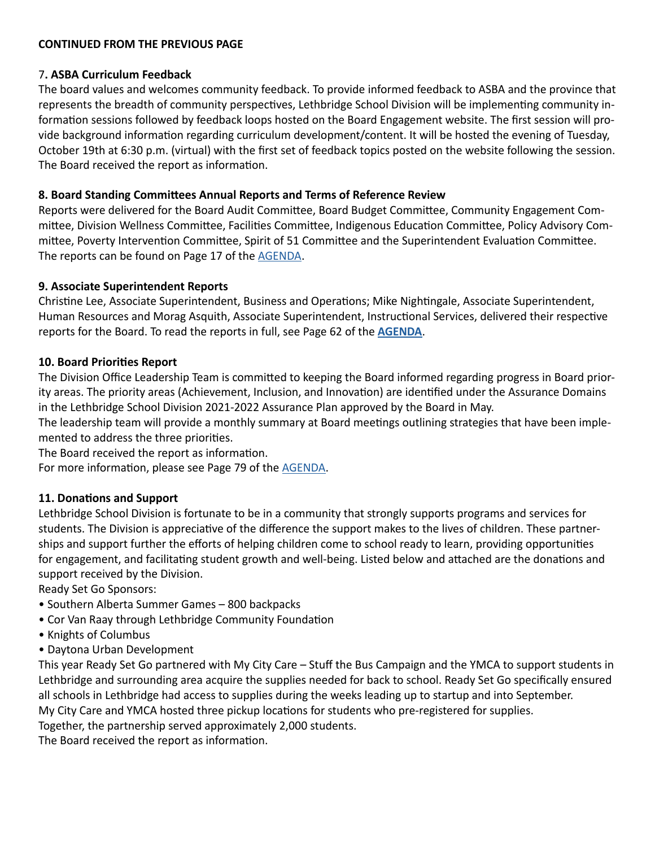#### **CONTINUED FROM THE PREVIOUS PAGE**

#### 7**. ASBA Curriculum Feedback**

The board values and welcomes community feedback. To provide informed feedback to ASBA and the province that represents the breadth of community perspectives, Lethbridge School Division will be implementing community information sessions followed by feedback loops hosted on the Board Engagement website. The first session will provide background information regarding curriculum development/content. It will be hosted the evening of Tuesday, October 19th at 6:30 p.m. (virtual) with the first set of feedback topics posted on the website following the session. The Board received the report as information.

#### **8. Board Standing Committees Annual Reports and Terms of Reference Review**

Reports were delivered for the Board Audit Committee, Board Budget Committee, Community Engagement Committee, Division Wellness Committee, Facilities Committee, Indigenous Education Committee, Policy Advisory Committee, Poverty Intervention Committee, Spirit of 51 Committee and the Superintendent Evaluation Committee. The reports can be found on Page 17 of the [AGENDA](https://www.lethsd.ab.ca/download/367152).

#### **9. Associate Superintendent Reports**

Christine Lee, Associate Superintendent, Business and Operations; Mike Nightingale, Associate Superintendent, Human Resources and Morag Asquith, Associate Superintendent, Instructional Services, delivered their respective reports for the Board. To read the reports in full, see Page 62 of the **[AGENDA](https://www.lethsd.ab.ca/download/367152)**.

#### **10. Board Priorities Report**

The Division Office Leadership Team is committed to keeping the Board informed regarding progress in Board priority areas. The priority areas (Achievement, Inclusion, and Innovation) are identified under the Assurance Domains in the Lethbridge School Division 2021-2022 Assurance Plan approved by the Board in May.

The leadership team will provide a monthly summary at Board meetings outlining strategies that have been implemented to address the three priorities.

The Board received the report as information.

For more information, please see Page 79 of the [AGENDA](https://www.lethsd.ab.ca/download/367152).

#### **11. Donations and Support**

Lethbridge School Division is fortunate to be in a community that strongly supports programs and services for students. The Division is appreciative of the difference the support makes to the lives of children. These partnerships and support further the efforts of helping children come to school ready to learn, providing opportunities for engagement, and facilitating student growth and well-being. Listed below and attached are the donations and support received by the Division.

Ready Set Go Sponsors:

- Southern Alberta Summer Games 800 backpacks
- Cor Van Raay through Lethbridge Community Foundation
- Knights of Columbus
- Daytona Urban Development

This year Ready Set Go partnered with My City Care – Stuff the Bus Campaign and the YMCA to support students in Lethbridge and surrounding area acquire the supplies needed for back to school. Ready Set Go specifically ensured all schools in Lethbridge had access to supplies during the weeks leading up to startup and into September.

My City Care and YMCA hosted three pickup locations for students who pre-registered for supplies.

Together, the partnership served approximately 2,000 students.

The Board received the report as information.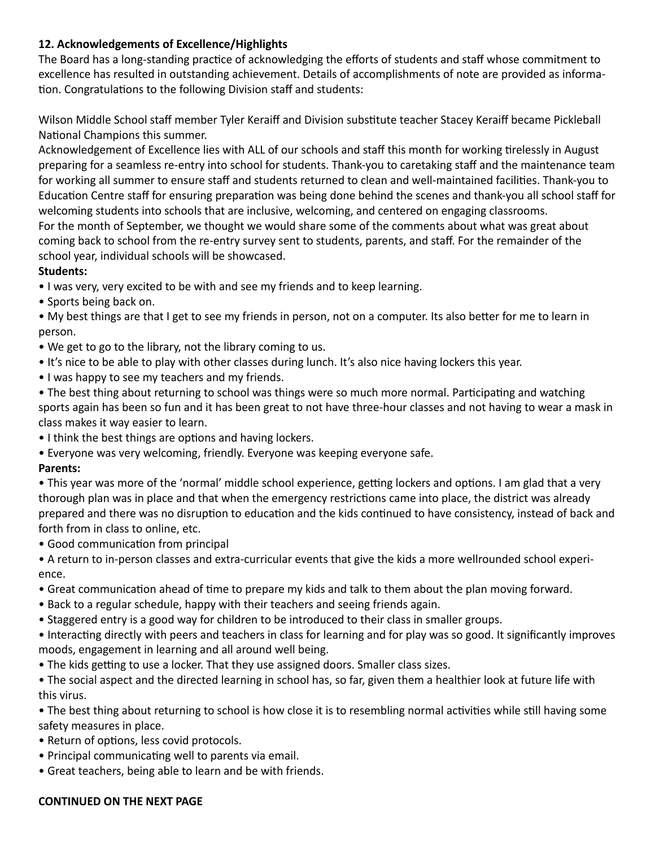## **12. Acknowledgements of Excellence/Highlights**

The Board has a long-standing practice of acknowledging the efforts of students and staff whose commitment to excellence has resulted in outstanding achievement. Details of accomplishments of note are provided as information. Congratulations to the following Division staff and students:

Wilson Middle School staff member Tyler Keraiff and Division substitute teacher Stacey Keraiff became Pickleball National Champions this summer.

Acknowledgement of Excellence lies with ALL of our schools and staff this month for working tirelessly in August preparing for a seamless re-entry into school for students. Thank-you to caretaking staff and the maintenance team for working all summer to ensure staff and students returned to clean and well-maintained facilities. Thank-you to Education Centre staff for ensuring preparation was being done behind the scenes and thank-you all school staff for welcoming students into schools that are inclusive, welcoming, and centered on engaging classrooms. For the month of September, we thought we would share some of the comments about what was great about coming back to school from the re-entry survey sent to students, parents, and staff. For the remainder of the school year, individual schools will be showcased.

#### **Students:**

- I was very, very excited to be with and see my friends and to keep learning.
- Sports being back on.
- My best things are that I get to see my friends in person, not on a computer. Its also better for me to learn in person.
- We get to go to the library, not the library coming to us.
- It's nice to be able to play with other classes during lunch. It's also nice having lockers this year.
- I was happy to see my teachers and my friends.
- The best thing about returning to school was things were so much more normal. Participating and watching sports again has been so fun and it has been great to not have three-hour classes and not having to wear a mask in class makes it way easier to learn.
- I think the best things are options and having lockers.
- Everyone was very welcoming, friendly. Everyone was keeping everyone safe.

## **Parents:**

• This year was more of the 'normal' middle school experience, getting lockers and options. I am glad that a very thorough plan was in place and that when the emergency restrictions came into place, the district was already prepared and there was no disruption to education and the kids continued to have consistency, instead of back and forth from in class to online, etc.

• Good communication from principal

• A return to in-person classes and extra-curricular events that give the kids a more wellrounded school experience.

- Great communication ahead of time to prepare my kids and talk to them about the plan moving forward.
- Back to a regular schedule, happy with their teachers and seeing friends again.
- Staggered entry is a good way for children to be introduced to their class in smaller groups.

• Interacting directly with peers and teachers in class for learning and for play was so good. It significantly improves moods, engagement in learning and all around well being.

• The kids getting to use a locker. That they use assigned doors. Smaller class sizes.

• The social aspect and the directed learning in school has, so far, given them a healthier look at future life with this virus.

• The best thing about returning to school is how close it is to resembling normal activities while still having some safety measures in place.

- Return of options, less covid protocols.
- Principal communicating well to parents via email.
- Great teachers, being able to learn and be with friends.

#### **CONTINUED ON THE NEXT PAGE**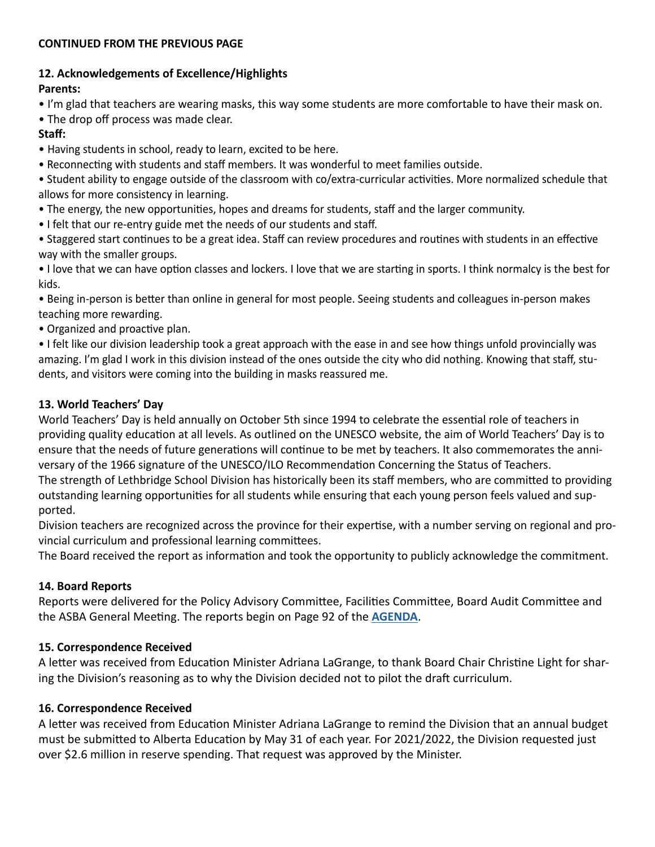#### **CONTINUED FROM THE PREVIOUS PAGE**

## **12. Acknowledgements of Excellence/Highlights**

## **Parents:**

- I'm glad that teachers are wearing masks, this way some students are more comfortable to have their mask on.
- The drop off process was made clear.

## **Staff:**

- Having students in school, ready to learn, excited to be here.
- Reconnecting with students and staff members. It was wonderful to meet families outside.
- Student ability to engage outside of the classroom with co/extra-curricular activities. More normalized schedule that allows for more consistency in learning.
- The energy, the new opportunities, hopes and dreams for students, staff and the larger community.
- I felt that our re-entry guide met the needs of our students and staff.
- Staggered start continues to be a great idea. Staff can review procedures and routines with students in an effective way with the smaller groups.

• I love that we can have option classes and lockers. I love that we are starting in sports. I think normalcy is the best for kids.

• Being in-person is better than online in general for most people. Seeing students and colleagues in-person makes teaching more rewarding.

• Organized and proactive plan.

• I felt like our division leadership took a great approach with the ease in and see how things unfold provincially was amazing. I'm glad I work in this division instead of the ones outside the city who did nothing. Knowing that staff, students, and visitors were coming into the building in masks reassured me.

## **13. World Teachers' Day**

World Teachers' Day is held annually on October 5th since 1994 to celebrate the essential role of teachers in providing quality education at all levels. As outlined on the UNESCO website, the aim of World Teachers' Day is to ensure that the needs of future generations will continue to be met by teachers. It also commemorates the anniversary of the 1966 signature of the UNESCO/ILO Recommendation Concerning the Status of Teachers. The strength of Lethbridge School Division has historically been its staff members, who are committed to providing outstanding learning opportunities for all students while ensuring that each young person feels valued and supported.

Division teachers are recognized across the province for their expertise, with a number serving on regional and provincial curriculum and professional learning committees.

The Board received the report as information and took the opportunity to publicly acknowledge the commitment.

## **14. Board Reports**

Reports were delivered for the Policy Advisory Committee, Facilities Committee, Board Audit Committee and the ASBA General Meeting. The reports begin on Page 92 of the **[AGENDA](https://www.lethsd.ab.ca/download/367152)**.

## **15. Correspondence Received**

A letter was received from Education Minister Adriana LaGrange, to thank Board Chair Christine Light for sharing the Division's reasoning as to why the Division decided not to pilot the draft curriculum.

#### **16. Correspondence Received**

A letter was received from Education Minister Adriana LaGrange to remind the Division that an annual budget must be submitted to Alberta Education by May 31 of each year. For 2021/2022, the Division requested just over \$2.6 million in reserve spending. That request was approved by the Minister.